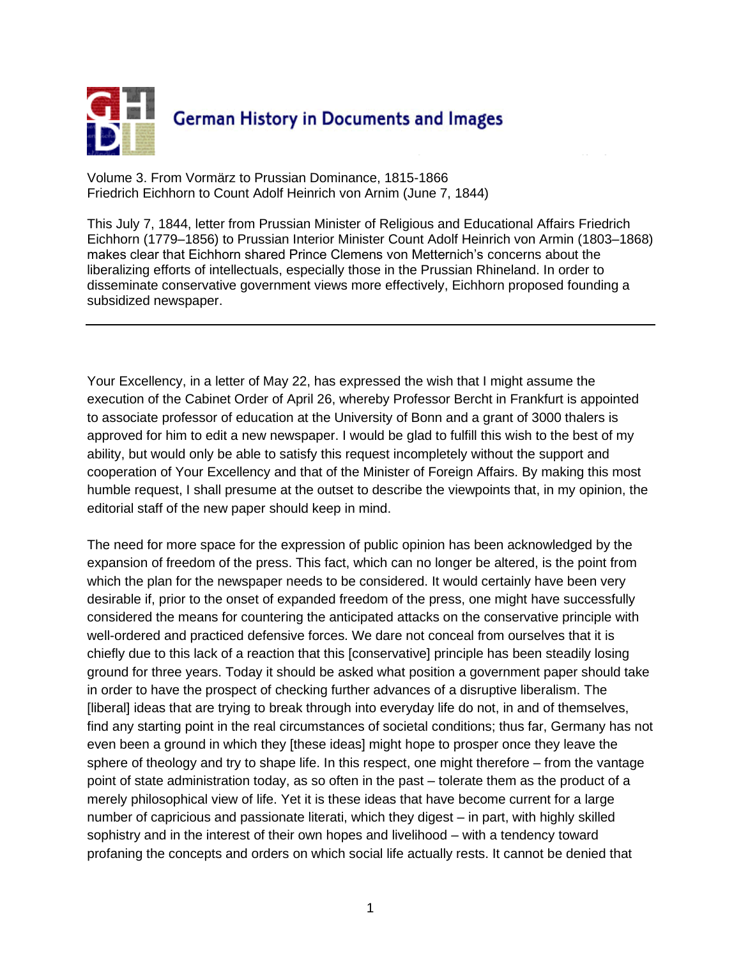

Volume 3. From Vormärz to Prussian Dominance, 1815-1866 Friedrich Eichhorn to Count Adolf Heinrich von Arnim (June 7, 1844)

This July 7, 1844, letter from Prussian Minister of Religious and Educational Affairs Friedrich Eichhorn (1779–1856) to Prussian Interior Minister Count Adolf Heinrich von Armin (1803–1868) makes clear that Eichhorn shared Prince Clemens von Metternich's concerns about the liberalizing efforts of intellectuals, especially those in the Prussian Rhineland. In order to disseminate conservative government views more effectively, Eichhorn proposed founding a subsidized newspaper.

Your Excellency, in a letter of May 22, has expressed the wish that I might assume the execution of the Cabinet Order of April 26, whereby Professor Bercht in Frankfurt is appointed to associate professor of education at the University of Bonn and a grant of 3000 thalers is approved for him to edit a new newspaper. I would be glad to fulfill this wish to the best of my ability, but would only be able to satisfy this request incompletely without the support and cooperation of Your Excellency and that of the Minister of Foreign Affairs. By making this most humble request, I shall presume at the outset to describe the viewpoints that, in my opinion, the editorial staff of the new paper should keep in mind.

The need for more space for the expression of public opinion has been acknowledged by the expansion of freedom of the press. This fact, which can no longer be altered, is the point from which the plan for the newspaper needs to be considered. It would certainly have been very desirable if, prior to the onset of expanded freedom of the press, one might have successfully considered the means for countering the anticipated attacks on the conservative principle with well-ordered and practiced defensive forces. We dare not conceal from ourselves that it is chiefly due to this lack of a reaction that this [conservative] principle has been steadily losing ground for three years. Today it should be asked what position a government paper should take in order to have the prospect of checking further advances of a disruptive liberalism. The [liberal] ideas that are trying to break through into everyday life do not, in and of themselves, find any starting point in the real circumstances of societal conditions; thus far, Germany has not even been a ground in which they [these ideas] might hope to prosper once they leave the sphere of theology and try to shape life. In this respect, one might therefore – from the vantage point of state administration today, as so often in the past – tolerate them as the product of a merely philosophical view of life. Yet it is these ideas that have become current for a large number of capricious and passionate literati, which they digest – in part, with highly skilled sophistry and in the interest of their own hopes and livelihood – with a tendency toward profaning the concepts and orders on which social life actually rests. It cannot be denied that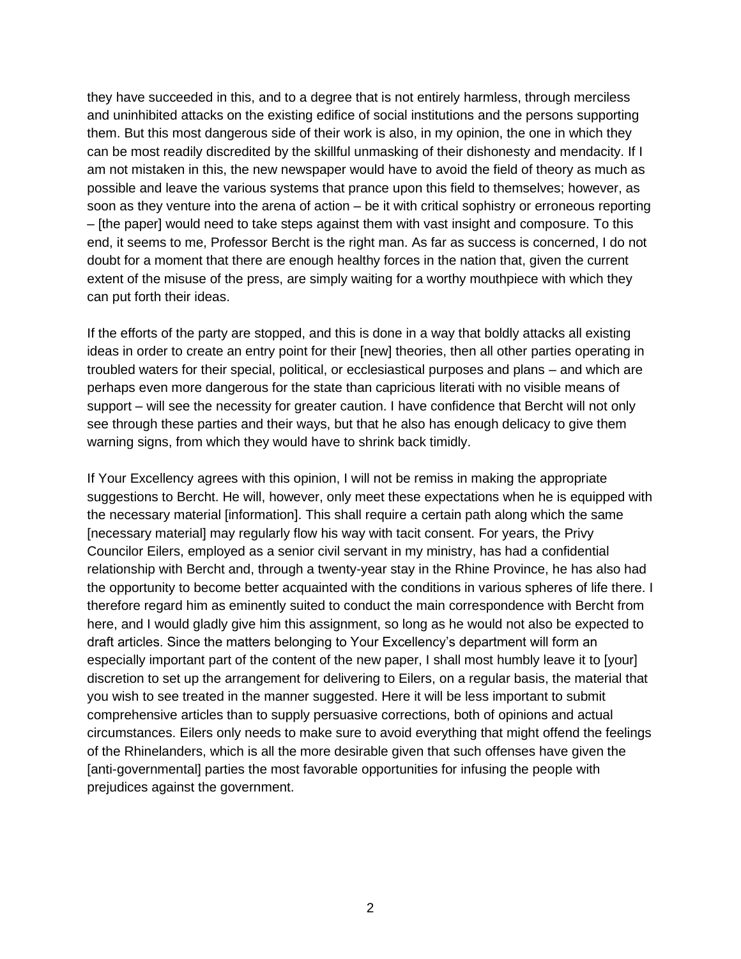they have succeeded in this, and to a degree that is not entirely harmless, through merciless and uninhibited attacks on the existing edifice of social institutions and the persons supporting them. But this most dangerous side of their work is also, in my opinion, the one in which they can be most readily discredited by the skillful unmasking of their dishonesty and mendacity. If I am not mistaken in this, the new newspaper would have to avoid the field of theory as much as possible and leave the various systems that prance upon this field to themselves; however, as soon as they venture into the arena of action – be it with critical sophistry or erroneous reporting – [the paper] would need to take steps against them with vast insight and composure. To this end, it seems to me, Professor Bercht is the right man. As far as success is concerned, I do not doubt for a moment that there are enough healthy forces in the nation that, given the current extent of the misuse of the press, are simply waiting for a worthy mouthpiece with which they can put forth their ideas.

If the efforts of the party are stopped, and this is done in a way that boldly attacks all existing ideas in order to create an entry point for their [new] theories, then all other parties operating in troubled waters for their special, political, or ecclesiastical purposes and plans – and which are perhaps even more dangerous for the state than capricious literati with no visible means of support – will see the necessity for greater caution. I have confidence that Bercht will not only see through these parties and their ways, but that he also has enough delicacy to give them warning signs, from which they would have to shrink back timidly.

If Your Excellency agrees with this opinion, I will not be remiss in making the appropriate suggestions to Bercht. He will, however, only meet these expectations when he is equipped with the necessary material [information]. This shall require a certain path along which the same [necessary material] may regularly flow his way with tacit consent. For years, the Privy Councilor Eilers, employed as a senior civil servant in my ministry, has had a confidential relationship with Bercht and, through a twenty-year stay in the Rhine Province, he has also had the opportunity to become better acquainted with the conditions in various spheres of life there. I therefore regard him as eminently suited to conduct the main correspondence with Bercht from here, and I would gladly give him this assignment, so long as he would not also be expected to draft articles. Since the matters belonging to Your Excellency's department will form an especially important part of the content of the new paper, I shall most humbly leave it to [your] discretion to set up the arrangement for delivering to Eilers, on a regular basis, the material that you wish to see treated in the manner suggested. Here it will be less important to submit comprehensive articles than to supply persuasive corrections, both of opinions and actual circumstances. Eilers only needs to make sure to avoid everything that might offend the feelings of the Rhinelanders, which is all the more desirable given that such offenses have given the [anti-governmental] parties the most favorable opportunities for infusing the people with prejudices against the government.